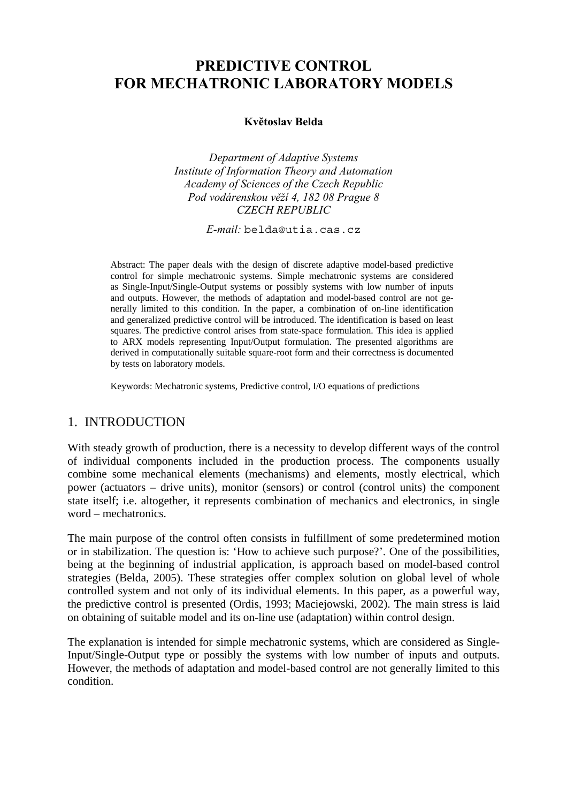# **PREDICTIVE CONTROL FOR MECHATRONIC LABORATORY MODELS**

## **Květoslav Belda**

*Department of Adaptive Systems Institute of Information Theory and Automation Academy of Sciences of the Czech Republic Pod vodárenskou věží 4, 182 08 Prague 8 CZECH REPUBLIC* 

*E-mail:* belda@utia.cas.cz

Abstract: The paper deals with the design of discrete adaptive model-based predictive control for simple mechatronic systems. Simple mechatronic systems are considered as Single-Input/Single-Output systems or possibly systems with low number of inputs and outputs. However, the methods of adaptation and model-based control are not generally limited to this condition. In the paper, a combination of on-line identification and generalized predictive control will be introduced. The identification is based on least squares. The predictive control arises from state-space formulation. This idea is applied to ARX models representing Input/Output formulation. The presented algorithms are derived in computationally suitable square-root form and their correctness is documented by tests on laboratory models.

Keywords: Mechatronic systems, Predictive control, I/O equations of predictions

# 1. INTRODUCTION

With steady growth of production, there is a necessity to develop different ways of the control of individual components included in the production process. The components usually combine some mechanical elements (mechanisms) and elements, mostly electrical, which power (actuators – drive units), monitor (sensors) or control (control units) the component state itself; i.e. altogether, it represents combination of mechanics and electronics, in single word – mechatronics.

The main purpose of the control often consists in fulfillment of some predetermined motion or in stabilization. The question is: 'How to achieve such purpose?'. One of the possibilities, being at the beginning of industrial application, is approach based on model-based control strategies (Belda, 2005). These strategies offer complex solution on global level of whole controlled system and not only of its individual elements. In this paper, as a powerful way, the predictive control is presented (Ordis, 1993; Maciejowski, 2002). The main stress is laid on obtaining of suitable model and its on-line use (adaptation) within control design.

The explanation is intended for simple mechatronic systems, which are considered as Single-Input/Single-Output type or possibly the systems with low number of inputs and outputs. However, the methods of adaptation and model-based control are not generally limited to this condition.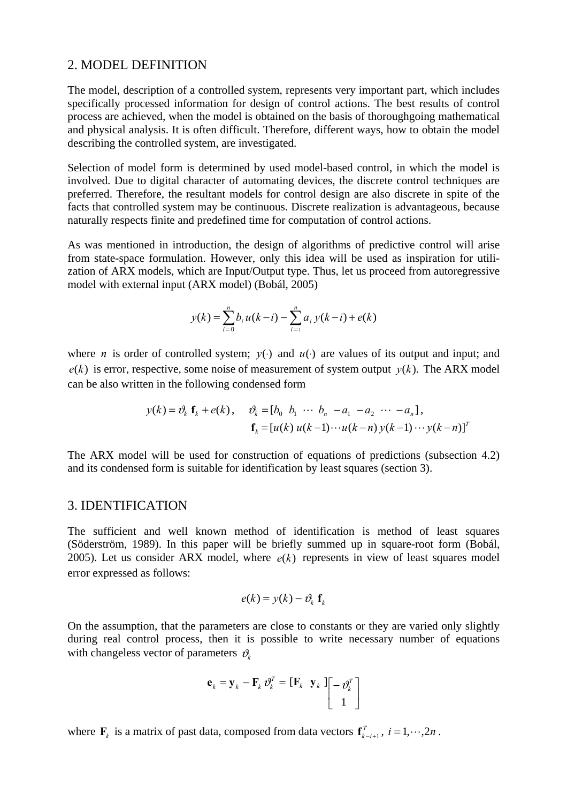### 2. MODEL DEFINITION

The model, description of a controlled system, represents very important part, which includes specifically processed information for design of control actions. The best results of control process are achieved, when the model is obtained on the basis of thoroughgoing mathematical and physical analysis. It is often difficult. Therefore, different ways, how to obtain the model describing the controlled system, are investigated.

Selection of model form is determined by used model-based control, in which the model is involved. Due to digital character of automating devices, the discrete control techniques are preferred. Therefore, the resultant models for control design are also discrete in spite of the facts that controlled system may be continuous. Discrete realization is advantageous, because naturally respects finite and predefined time for computation of control actions.

As was mentioned in introduction, the design of algorithms of predictive control will arise from state-space formulation. However, only this idea will be used as inspiration for utilization of ARX models, which are Input/Output type. Thus, let us proceed from autoregressive model with external input (ARX model) (Bobál, 2005)

$$
y(k) = \sum_{i=0}^{n} b_i u(k-i) - \sum_{i=1}^{n} a_i y(k-i) + e(k)
$$

where *n* is order of controlled system;  $y(·)$  and  $u(·)$  are values of its output and input; and  $e(k)$  is error, respective, some noise of measurement of system output  $y(k)$ . The ARX model can be also written in the following condensed form

$$
y(k) = \partial_k \mathbf{f}_k + e(k), \quad \partial_k = [b_0 \quad b_1 \quad \cdots \quad b_n \quad -a_1 \quad -a_2 \quad \cdots \quad -a_n],
$$

$$
\mathbf{f}_k = [u(k) \ u(k-1) \cdots u(k-n) \ y(k-1) \cdots y(k-n)]^T
$$

The ARX model will be used for construction of equations of predictions (subsection 4.2) and its condensed form is suitable for identification by least squares (section 3).

#### 3. IDENTIFICATION

The sufficient and well known method of identification is method of least squares (Söderström, 1989). In this paper will be briefly summed up in square-root form (Bobál, 2005). Let us consider ARX model, where  $e(k)$  represents in view of least squares model error expressed as follows:

$$
e(k) = y(k) - \vartheta_k \mathbf{f}_k
$$

On the assumption, that the parameters are close to constants or they are varied only slightly during real control process, then it is possible to write necessary number of equations with changeless vector of parameters  $\vartheta_k$ 

$$
\mathbf{e}_k = \mathbf{y}_k - \mathbf{F}_k \, \boldsymbol{\vartheta}_k^T = \begin{bmatrix} \mathbf{F}_k & \mathbf{y}_k \end{bmatrix} \begin{bmatrix} -\boldsymbol{\vartheta}_k^T \\ 1 \end{bmatrix}
$$

where  $\mathbf{F}_k$  is a matrix of past data, composed from data vectors  $\mathbf{f}_{k-i+1}^T$ ,  $i = 1, \dots, 2n$ .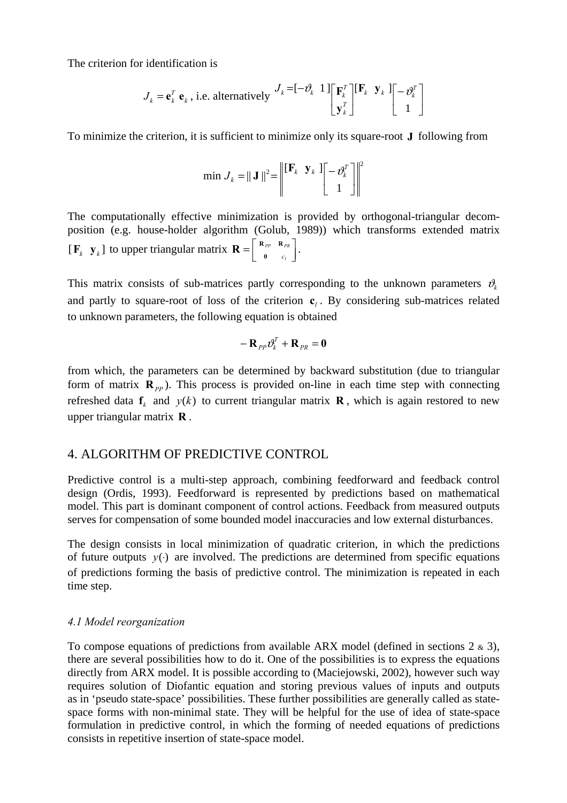The criterion for identification is

$$
J_k = \mathbf{e}_k^T \mathbf{e}_k
$$
, i.e. alternatively 
$$
J_k = \begin{bmatrix} -\partial_k & 1 \end{bmatrix} \begin{bmatrix} \mathbf{F}_k^T \\ \mathbf{y}_k^T \end{bmatrix} \begin{bmatrix} \mathbf{F}_k & \mathbf{y}_k \end{bmatrix} \begin{bmatrix} -\partial_k^T \\ 1 \end{bmatrix}
$$

To minimize the criterion, it is sufficient to minimize only its square-root **J** following from

$$
\min J_k = ||\mathbf{J}||^2 = \left\| \begin{bmatrix} \mathbf{F}_k & \mathbf{y}_k \end{bmatrix} \begin{bmatrix} -\boldsymbol{\vartheta}_k^T \\ 1 \end{bmatrix} \right\|^2
$$

The computationally effective minimization is provided by orthogonal-triangular decomposition (e.g. house-holder algorithm (Golub, 1989)) which transforms extended matrix  $[\mathbf{F}_k \ \mathbf{y}_k]$  to upper triangular matrix  $\mathbf{R} = \begin{bmatrix} \mathbf{R}_{PP} & \mathbf{R}_{PR} \\ \mathbf{0} & c_l \end{bmatrix}$ *PP PR* **0** *c*  $\mathbf{R} = \begin{bmatrix} \mathbf{R}_{PP} & \mathbf{R}_{PR} \\ \vdots & \vdots \end{bmatrix}.$ 

This matrix consists of sub-matrices partly corresponding to the unknown parameters  $\mathcal{v}_k$ and partly to square-root of loss of the criterion  $c_i$ . By considering sub-matrices related to unknown parameters, the following equation is obtained

$$
- \mathbf{R}_{PP} \partial_k^T + \mathbf{R}_{PR} = \mathbf{0}
$$

from which, the parameters can be determined by backward substitution (due to triangular form of matrix  $\mathbf{R}_{pp}$ ). This process is provided on-line in each time step with connecting refreshed data  $f_k$  and  $y(k)$  to current triangular matrix **R**, which is again restored to new upper triangular matrix **R** .

# 4. ALGORITHM OF PREDICTIVE CONTROL

Predictive control is a multi-step approach, combining feedforward and feedback control design (Ordis, 1993). Feedforward is represented by predictions based on mathematical model. This part is dominant component of control actions. Feedback from measured outputs serves for compensation of some bounded model inaccuracies and low external disturbances.

The design consists in local minimization of quadratic criterion, in which the predictions of future outputs *y*(⋅) are involved. The predictions are determined from specific equations of predictions forming the basis of predictive control. The minimization is repeated in each time step.

#### *4.1 Model reorganization*

To compose equations of predictions from available ARX model (defined in sections  $2 \times 3$ ), there are several possibilities how to do it. One of the possibilities is to express the equations directly from ARX model. It is possible according to (Maciejowski, 2002), however such way requires solution of Diofantic equation and storing previous values of inputs and outputs as in 'pseudo state-space' possibilities. These further possibilities are generally called as statespace forms with non-minimal state. They will be helpful for the use of idea of state-space formulation in predictive control, in which the forming of needed equations of predictions consists in repetitive insertion of state-space model.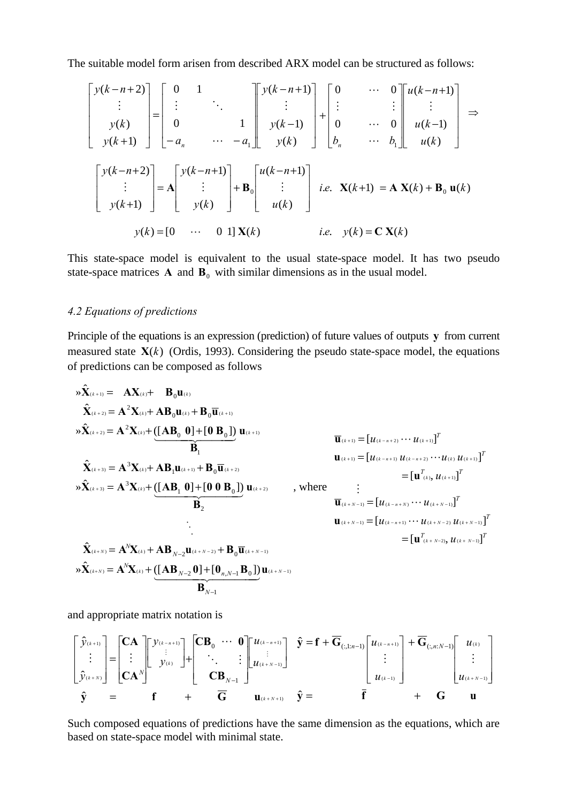The suitable model form arisen from described ARX model can be structured as follows:

$$
\begin{bmatrix} y(k-n+2) \\ \vdots \\ y(k) \\ \vdots \\ y(k+1) \end{bmatrix} = \begin{bmatrix} 0 & 1 & & \\ \vdots & \ddots & & \\ 0 & & 1 & \\ -a_n & \cdots & -a_1 \end{bmatrix} \begin{bmatrix} y(k-n+1) \\ \vdots \\ y(k-1) \\ \vdots \\ y(k) \end{bmatrix} + \begin{bmatrix} 0 & \cdots & 0 \\ \vdots \\ 0 & \cdots & 0 \\ b_n & \cdots & b_1 \end{bmatrix} \begin{bmatrix} u(k-n+1) \\ u(k) \\ \vdots \\ u(k) \end{bmatrix} \Rightarrow
$$

$$
\begin{bmatrix} y(k-n+2) \\ \vdots \\ y(k+1) \end{bmatrix} = \mathbf{A} \begin{bmatrix} y(k-n+1) \\ \vdots \\ y(k) \end{bmatrix} + \mathbf{B}_0 \begin{bmatrix} u(k-n+1) \\ \vdots \\ u(k) \end{bmatrix} \begin{bmatrix} i.e. \mathbf{X}(k+1) = \mathbf{A} \mathbf{X}(k) + \mathbf{B}_0 \mathbf{u}(k) \\ \vdots \\ y(k) = [0 \cdots & 0 \ 1] \mathbf{X}(k) \end{bmatrix}
$$
 i.e.  $y(k) = \mathbf{C} \mathbf{X}(k)$ 

This state-space model is equivalent to the usual state-space model. It has two pseudo state-space matrices  $\bf{A}$  and  $\bf{B}_0$  with similar dimensions as in the usual model.

## *4.2 Equations of predictions*

Principle of the equations is an expression (prediction) of future values of outputs **y** from current measured state  $X(k)$  (Ordis, 1993). Considering the pseudo state-space model, the equations of predictions can be composed as follows

$$
\mathbf{x}_{(k+1)} = \mathbf{A} \mathbf{X}_{(k)} + \mathbf{B}_0 \mathbf{u}_{(k)}
$$
\n
$$
\hat{\mathbf{X}}_{(k+2)} = \mathbf{A}^2 \mathbf{X}_{(k)} + \mathbf{A} \mathbf{B}_0 \mathbf{u}_{(k)} + \mathbf{B}_0 \overline{\mathbf{u}}_{(k+1)}
$$
\n
$$
\mathbf{x}_{(k+2)} = \mathbf{A}^2 \mathbf{X}_{(k)} + (\mathbf{A} \mathbf{B}_0 \mathbf{0}) + [\mathbf{0} \mathbf{B}_0]) \mathbf{u}_{(k+1)}
$$
\n
$$
\mathbf{B}_1
$$
\n
$$
\mathbf{x}_{(k+3)} = \mathbf{A}^3 \mathbf{X}_{(k)} + \mathbf{A} \mathbf{B}_1 \mathbf{u}_{(k+1)} + \mathbf{B}_0 \overline{\mathbf{u}}_{(k+2)}
$$
\n
$$
\mathbf{x}_{(k+3)} = \mathbf{A}^3 \mathbf{X}_{(k)} + (\mathbf{A} \mathbf{B}_1 \mathbf{0}) + [\mathbf{0} \mathbf{0} \mathbf{B}_0]) \mathbf{u}_{(k+2)}
$$
\n
$$
\mathbf{B}_2
$$
\n
$$
\mathbf{B}_3
$$
\n
$$
\mathbf{B}_4
$$
\n
$$
\mathbf{B}_5
$$
\n
$$
\mathbf{B}_6
$$
\n
$$
\mathbf{B}_7
$$
\n
$$
\mathbf{B}_8
$$
\n
$$
\mathbf{B}_9
$$
\n
$$
\mathbf{B}_1
$$
\n
$$
\mathbf{B}_2
$$
\n
$$
\mathbf{B}_3
$$
\n
$$
\mathbf{B}_4
$$
\n
$$
\mathbf{B}_5
$$
\n
$$
\mathbf{B}_6
$$
\n
$$
\mathbf{B}_7
$$
\n
$$
\mathbf{B}_8
$$
\n
$$
\mathbf{B}_9
$$
\n
$$
\mathbf{B}_9
$$
\n
$$
\mathbf{B}_9
$$
\n
$$
\mathbf{B}_9
$$
\n
$$
\mathbf{B}_9
$$
\n
$$
\mathbf{B}_9
$$
\n
$$
\
$$

and appropriate matrix notation is

$$
\begin{bmatrix}\n\hat{y}_{(k+1)} \\
\vdots \\
\hat{y}_{(k+N)}\n\end{bmatrix} =\n\begin{bmatrix}\nC\mathbf{A} \\
\vdots \\
C\mathbf{A}^N\n\end{bmatrix}\n\begin{bmatrix}\ny_{(k-n+1)} \\
\vdots \\
y_{(k)}\n\end{bmatrix} +\n\begin{bmatrix}\nC\mathbf{B}_0 & \cdots & 0 \\
\vdots & \ddots & \vdots \\
C\mathbf{B}_{N-1} & \cdots & C\n\end{bmatrix}\n\begin{bmatrix}\nu_{(k-n+1)} \\
u_{(k+N-1)}\n\end{bmatrix}\n\begin{bmatrix}\n\hat{y} = \mathbf{f} + \overline{\mathbf{G}}_{(:,1:n-1)}\n\begin{bmatrix}\nu_{(k-n+1)} \\
\vdots \\
u_{(k-1)}\n\end{bmatrix} + \overline{\mathbf{G}}_{(:,n:N-1)}\n\begin{bmatrix}\nu_{(k)} \\
\vdots \\
u_{(k+N-1)}\n\end{bmatrix}
$$
\n
$$
\hat{\mathbf{y}} = \mathbf{f} + \mathbf{G} \mathbf{u}
$$

Such composed equations of predictions have the same dimension as the equations, which are based on state-space model with minimal state.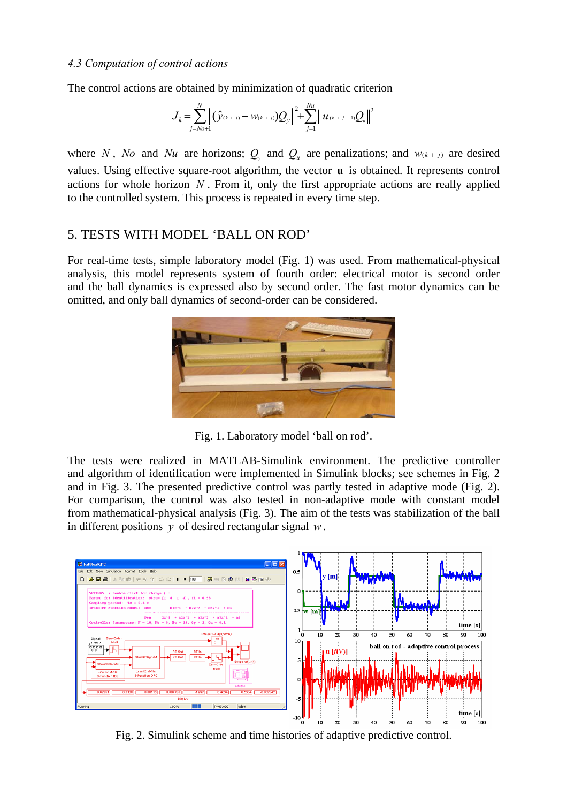## *4.3 Computation of control actions*

The control actions are obtained by minimization of quadratic criterion

$$
J_{k} = \sum_{j=N_{0}+1}^{N} \left| (\hat{y}_{(k+j)} - w_{(k+j)}) Q_{y} \right|^{2} + \sum_{j=1}^{N_{u}} \left| u_{(k+j-1)} Q_{u} \right|^{2}
$$

where *N*, *No* and *Nu* are horizons;  $Q_{v}$  and  $Q_{u}$  are penalizations; and  $w_{(k+j)}$  are desired values. Using effective square-root algorithm, the vector **u** is obtained. It represents control actions for whole horizon *N* . From it, only the first appropriate actions are really applied to the controlled system. This process is repeated in every time step.

# 5. TESTS WITH MODEL 'BALL ON ROD'

For real-time tests, simple laboratory model (Fig. 1) was used. From mathematical-physical analysis, this model represents system of fourth order: electrical motor is second order and the ball dynamics is expressed also by second order. The fast motor dynamics can be omitted, and only ball dynamics of second-order can be considered.



Fig. 1. Laboratory model 'ball on rod'.

The tests were realized in MATLAB-Simulink environment. The predictive controller and algorithm of identification were implemented in Simulink blocks; see schemes in Fig. 2 and in Fig. 3. The presented predictive control was partly tested in adaptive mode (Fig. 2). For comparison, the control was also tested in non-adaptive mode with constant model from mathematical-physical analysis (Fig. 3). The aim of the tests was stabilization of the ball in different positions *y* of desired rectangular signal *w* .



Fig. 2. Simulink scheme and time histories of adaptive predictive control.